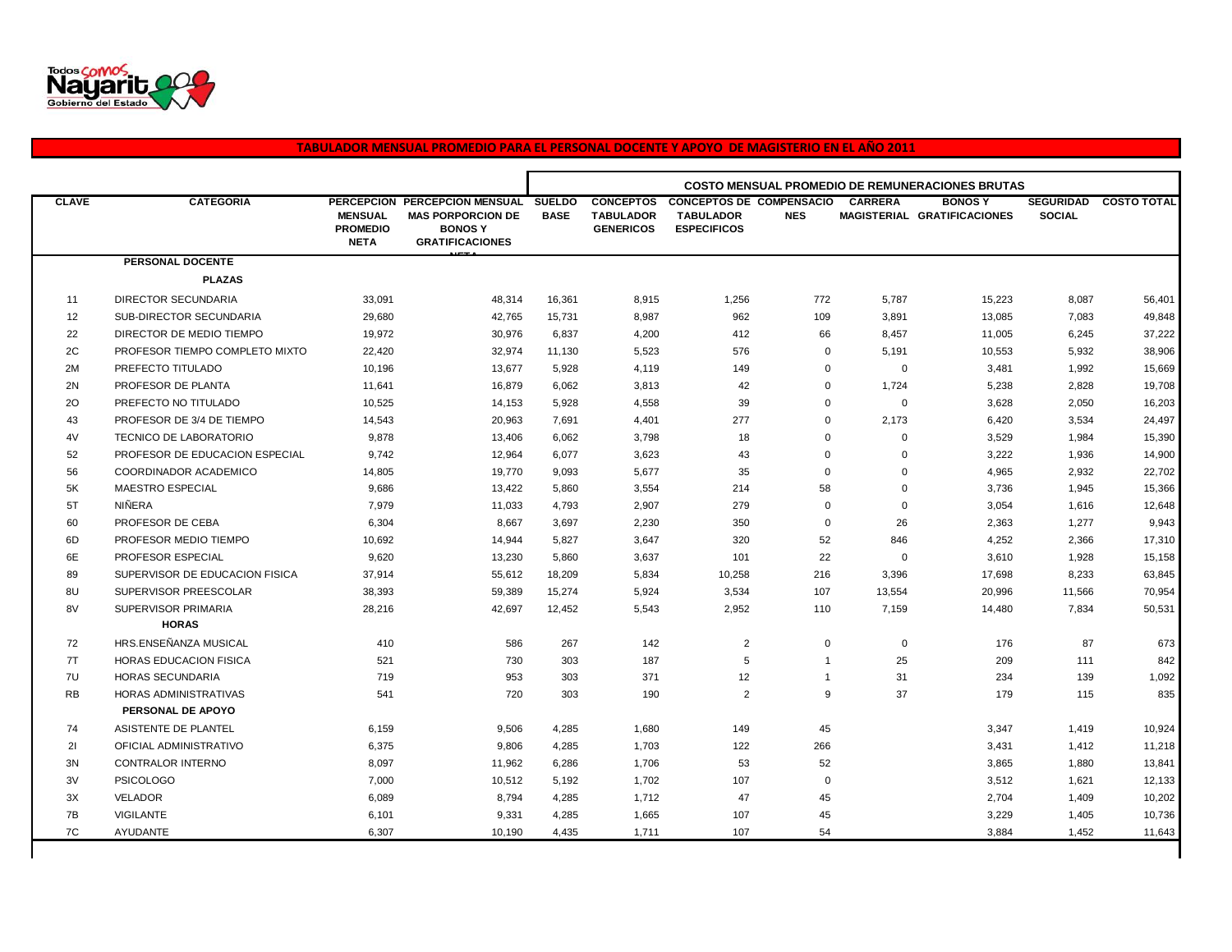

## **TABULADOR MENSUAL PROMEDIO PARA EL PERSONAL DOCENTE Y APOYO DE MAGISTERIO EN EL AÑO 2011**

|              |                                |                                                  |                                                                                                      | <b>COSTO MENSUAL PROMEDIO DE REMUNERACIONES BRUTAS</b> |                                                          |                                                                           |                |                |                                               |                                   |                    |
|--------------|--------------------------------|--------------------------------------------------|------------------------------------------------------------------------------------------------------|--------------------------------------------------------|----------------------------------------------------------|---------------------------------------------------------------------------|----------------|----------------|-----------------------------------------------|-----------------------------------|--------------------|
| <b>CLAVE</b> | <b>CATEGORIA</b>               | <b>MENSUAL</b><br><b>PROMEDIO</b><br><b>NETA</b> | PERCEPCION PERCEPCION MENSUAL<br><b>MAS PORPORCION DE</b><br><b>BONOSY</b><br><b>GRATIFICACIONES</b> | <b>SUELDO</b><br><b>BASE</b>                           | <b>CONCEPTOS</b><br><b>TABULADOR</b><br><b>GENERICOS</b> | <b>CONCEPTOS DE COMPENSACIO</b><br><b>TABULADOR</b><br><b>ESPECIFICOS</b> | <b>NES</b>     | <b>CARRERA</b> | <b>BONOS Y</b><br>MAGISTERIAL GRATIFICACIONES | <b>SEGURIDAD</b><br><b>SOCIAL</b> | <b>COSTO TOTAL</b> |
|              | PERSONAL DOCENTE               |                                                  |                                                                                                      |                                                        |                                                          |                                                                           |                |                |                                               |                                   |                    |
|              | <b>PLAZAS</b>                  |                                                  |                                                                                                      |                                                        |                                                          |                                                                           |                |                |                                               |                                   |                    |
| 11           | <b>DIRECTOR SECUNDARIA</b>     | 33,091                                           | 48,314                                                                                               | 16,361                                                 | 8,915                                                    | 1,256                                                                     | 772            | 5,787          | 15,223                                        | 8,087                             | 56,401             |
| 12           | SUB-DIRECTOR SECUNDARIA        | 29,680                                           | 42,765                                                                                               | 15,731                                                 | 8,987                                                    | 962                                                                       | 109            | 3,891          | 13,085                                        | 7,083                             | 49,848             |
| 22           | DIRECTOR DE MEDIO TIEMPO       | 19,972                                           | 30,976                                                                                               | 6,837                                                  | 4,200                                                    | 412                                                                       | 66             | 8,457          | 11,005                                        | 6,245                             | 37,222             |
| 2C           | PROFESOR TIEMPO COMPLETO MIXTO | 22,420                                           | 32,974                                                                                               | 11,130                                                 | 5,523                                                    | 576                                                                       | $\mathbf 0$    | 5,191          | 10,553                                        | 5,932                             | 38,906             |
| 2M           | PREFECTO TITULADO              | 10,196                                           | 13,677                                                                                               | 5,928                                                  | 4,119                                                    | 149                                                                       | $\mathbf 0$    | $\mathbf 0$    | 3,481                                         | 1,992                             | 15,669             |
| 2N           | PROFESOR DE PLANTA             | 11,641                                           | 16,879                                                                                               | 6,062                                                  | 3,813                                                    | 42                                                                        | $\mathbf 0$    | 1,724          | 5,238                                         | 2,828                             | 19,708             |
| 20           | PREFECTO NO TITULADO           | 10,525                                           | 14,153                                                                                               | 5,928                                                  | 4,558                                                    | 39                                                                        | $\overline{0}$ | $\mathbf 0$    | 3,628                                         | 2,050                             | 16,203             |
| 43           | PROFESOR DE 3/4 DE TIEMPO      | 14,543                                           | 20,963                                                                                               | 7,691                                                  | 4,401                                                    | 277                                                                       | $\mathbf 0$    | 2,173          | 6,420                                         | 3,534                             | 24,497             |
| 4V           | <b>TECNICO DE LABORATORIO</b>  | 9,878                                            | 13,406                                                                                               | 6,062                                                  | 3,798                                                    | 18                                                                        | $\mathbf 0$    | $\mathbf 0$    | 3,529                                         | 1,984                             | 15,390             |
| 52           | PROFESOR DE EDUCACION ESPECIAL | 9,742                                            | 12,964                                                                                               | 6,077                                                  | 3,623                                                    | 43                                                                        | $\overline{0}$ | $\mathbf 0$    | 3,222                                         | 1,936                             | 14,900             |
| 56           | COORDINADOR ACADEMICO          | 14,805                                           | 19,770                                                                                               | 9,093                                                  | 5,677                                                    | 35                                                                        | $\overline{0}$ | $\mathbf 0$    | 4,965                                         | 2,932                             | 22,702             |
| 5K           | MAESTRO ESPECIAL               | 9,686                                            | 13,422                                                                                               | 5,860                                                  | 3,554                                                    | 214                                                                       | 58             | $\mathbf 0$    | 3,736                                         | 1,945                             | 15,366             |
| 5T           | NIÑERA                         | 7,979                                            | 11,033                                                                                               | 4,793                                                  | 2,907                                                    | 279                                                                       | $\overline{0}$ | $\mathbf 0$    | 3,054                                         | 1,616                             | 12,648             |
| 60           | PROFESOR DE CEBA               | 6,304                                            | 8,667                                                                                                | 3,697                                                  | 2,230                                                    | 350                                                                       | $\mathbf 0$    | 26             | 2,363                                         | 1,277                             | 9,943              |
| 6D           | PROFESOR MEDIO TIEMPO          | 10,692                                           | 14,944                                                                                               | 5,827                                                  | 3,647                                                    | 320                                                                       | 52             | 846            | 4,252                                         | 2,366                             | 17,310             |
| 6E           | PROFESOR ESPECIAL              | 9,620                                            | 13.230                                                                                               | 5,860                                                  | 3,637                                                    | 101                                                                       | 22             | $\mathbf 0$    | 3,610                                         | 1,928                             | 15,158             |
| 89           | SUPERVISOR DE EDUCACION FISICA | 37,914                                           | 55,612                                                                                               | 18,209                                                 | 5,834                                                    | 10,258                                                                    | 216            | 3,396          | 17,698                                        | 8,233                             | 63,845             |
| 8U           | SUPERVISOR PREESCOLAR          | 38,393                                           | 59,389                                                                                               | 15,274                                                 | 5,924                                                    | 3,534                                                                     | 107            | 13,554         | 20,996                                        | 11,566                            | 70,954             |
| 8V           | SUPERVISOR PRIMARIA            | 28,216                                           | 42,697                                                                                               | 12,452                                                 | 5,543                                                    | 2,952                                                                     | 110            | 7,159          | 14,480                                        | 7,834                             | 50,531             |
|              | <b>HORAS</b>                   |                                                  |                                                                                                      |                                                        |                                                          |                                                                           |                |                |                                               |                                   |                    |
| 72           | HRS.ENSEÑANZA MUSICAL          | 410                                              | 586                                                                                                  | 267                                                    | 142                                                      | $\overline{2}$                                                            | $\mathbf 0$    | $\mathbf 0$    | 176                                           | 87                                | 673                |
| 7T           | <b>HORAS EDUCACION FISICA</b>  | 521                                              | 730                                                                                                  | 303                                                    | 187                                                      | 5                                                                         | $\overline{1}$ | 25             | 209                                           | 111                               | 842                |
| 7U           | HORAS SECUNDARIA               | 719                                              | 953                                                                                                  | 303                                                    | 371                                                      | 12                                                                        | $\overline{1}$ | 31             | 234                                           | 139                               | 1,092              |
| <b>RB</b>    | HORAS ADMINISTRATIVAS          | 541                                              | 720                                                                                                  | 303                                                    | 190                                                      | 2                                                                         | 9              | 37             | 179                                           | 115                               | 835                |
|              | PERSONAL DE APOYO              |                                                  |                                                                                                      |                                                        |                                                          |                                                                           |                |                |                                               |                                   |                    |
| 74           | ASISTENTE DE PLANTEL           | 6,159                                            | 9,506                                                                                                | 4,285                                                  | 1,680                                                    | 149                                                                       | 45             |                | 3,347                                         | 1,419                             | 10,924             |
| 21           | OFICIAL ADMINISTRATIVO         | 6,375                                            | 9,806                                                                                                | 4,285                                                  | 1,703                                                    | 122                                                                       | 266            |                | 3,431                                         | 1,412                             | 11,218             |
| 3N           | <b>CONTRALOR INTERNO</b>       | 8,097                                            | 11,962                                                                                               | 6,286                                                  | 1,706                                                    | 53                                                                        | 52             |                | 3,865                                         | 1,880                             | 13,841             |
| 3V           | <b>PSICOLOGO</b>               | 7,000                                            | 10,512                                                                                               | 5,192                                                  | 1,702                                                    | 107                                                                       | $\mathbf 0$    |                | 3,512                                         | 1,621                             | 12,133             |
| 3X           | <b>VELADOR</b>                 | 6,089                                            | 8,794                                                                                                | 4,285                                                  | 1,712                                                    | 47                                                                        | 45             |                | 2,704                                         | 1,409                             | 10,202             |
| 7B           | <b>VIGILANTE</b>               | 6,101                                            | 9,331                                                                                                | 4,285                                                  | 1,665                                                    | 107                                                                       | 45             |                | 3,229                                         | 1,405                             | 10,736             |
| 7C           | AYUDANTE                       | 6,307                                            | 10,190                                                                                               | 4,435                                                  | 1,711                                                    | 107                                                                       | 54             |                | 3,884                                         | 1,452                             | 11,643             |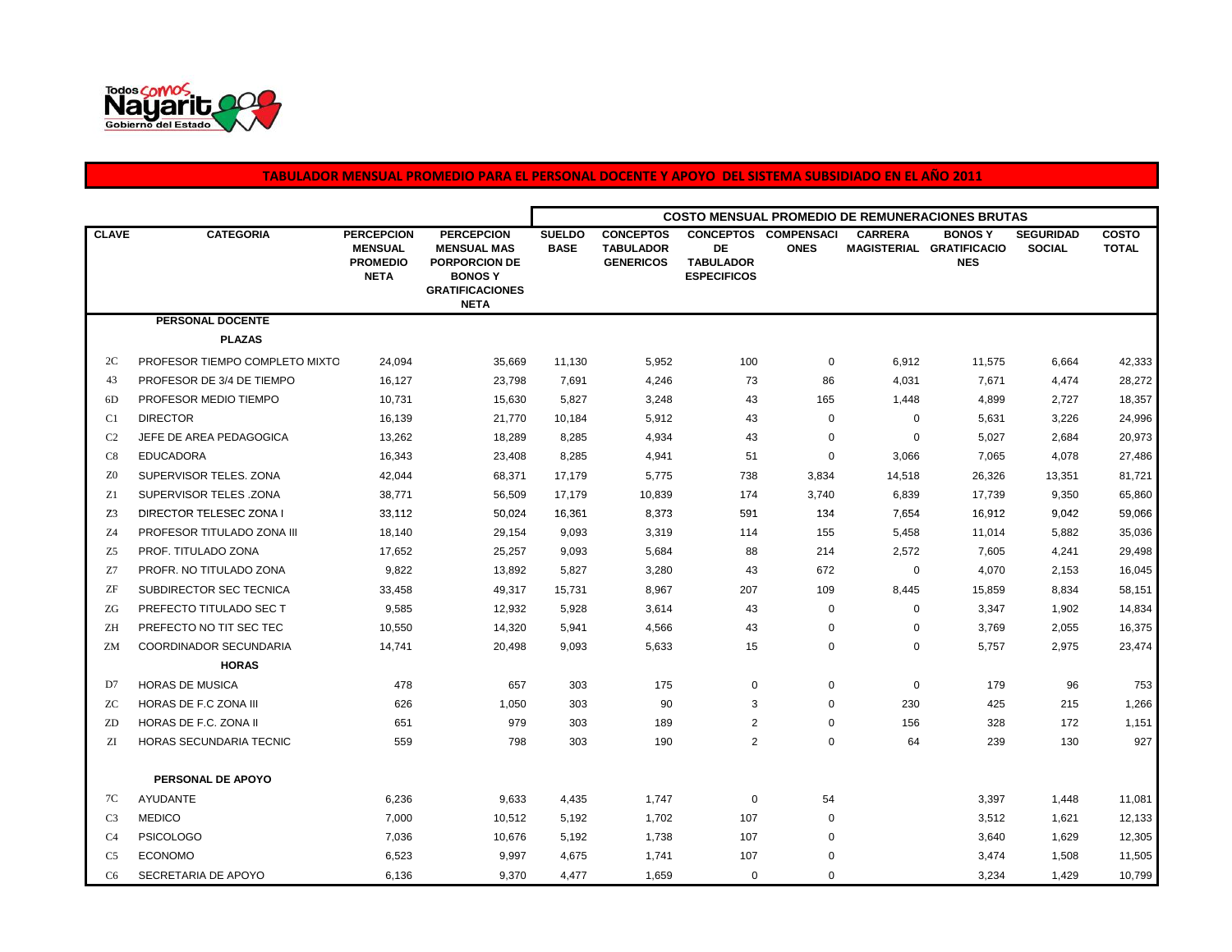

## **TABULADOR MENSUAL PROMEDIO PARA EL PERSONAL DOCENTE Y APOYO DEL SISTEMA SUBSIDIADO EN EL AÑO 2011**

|                |                                |                                                                       |                                                                                                                           | <b>COSTO MENSUAL PROMEDIO DE REMUNERACIONES BRUTAS</b> |                                                          |                                              |                                            |                |                                                          |                                   |                              |  |
|----------------|--------------------------------|-----------------------------------------------------------------------|---------------------------------------------------------------------------------------------------------------------------|--------------------------------------------------------|----------------------------------------------------------|----------------------------------------------|--------------------------------------------|----------------|----------------------------------------------------------|-----------------------------------|------------------------------|--|
| <b>CLAVE</b>   | <b>CATEGORIA</b>               | <b>PERCEPCION</b><br><b>MENSUAL</b><br><b>PROMEDIO</b><br><b>NETA</b> | <b>PERCEPCION</b><br><b>MENSUAL MAS</b><br><b>PORPORCION DE</b><br><b>BONOSY</b><br><b>GRATIFICACIONES</b><br><b>NETA</b> | <b>SUELDO</b><br><b>BASE</b>                           | <b>CONCEPTOS</b><br><b>TABULADOR</b><br><b>GENERICOS</b> | DE<br><b>TABULADOR</b><br><b>ESPECIFICOS</b> | <b>CONCEPTOS COMPENSACI</b><br><b>ONES</b> | <b>CARRERA</b> | <b>BONOS Y</b><br>MAGISTERIAL GRATIFICACIO<br><b>NES</b> | <b>SEGURIDAD</b><br><b>SOCIAL</b> | <b>COSTO</b><br><b>TOTAL</b> |  |
|                | <b>PERSONAL DOCENTE</b>        |                                                                       |                                                                                                                           |                                                        |                                                          |                                              |                                            |                |                                                          |                                   |                              |  |
|                | <b>PLAZAS</b>                  |                                                                       |                                                                                                                           |                                                        |                                                          |                                              |                                            |                |                                                          |                                   |                              |  |
| 2C             | PROFESOR TIEMPO COMPLETO MIXTO | 24,094                                                                | 35,669                                                                                                                    | 11,130                                                 | 5,952                                                    | 100                                          | 0                                          | 6,912          | 11,575                                                   | 6,664                             | 42,333                       |  |
| 43             | PROFESOR DE 3/4 DE TIEMPO      | 16,127                                                                | 23,798                                                                                                                    | 7,691                                                  | 4,246                                                    | 73                                           | 86                                         | 4,031          | 7,671                                                    | 4,474                             | 28,272                       |  |
| 6D             | PROFESOR MEDIO TIEMPO          | 10,731                                                                | 15,630                                                                                                                    | 5,827                                                  | 3,248                                                    | 43                                           | 165                                        | 1,448          | 4,899                                                    | 2,727                             | 18,357                       |  |
| C <sub>1</sub> | <b>DIRECTOR</b>                | 16,139                                                                | 21,770                                                                                                                    | 10,184                                                 | 5,912                                                    | 43                                           | $\mathbf 0$                                | $\mathbf 0$    | 5,631                                                    | 3,226                             | 24,996                       |  |
| C <sub>2</sub> | JEFE DE AREA PEDAGOGICA        | 13,262                                                                | 18,289                                                                                                                    | 8,285                                                  | 4,934                                                    | 43                                           | $\mathbf 0$                                | $\mathbf 0$    | 5,027                                                    | 2,684                             | 20,973                       |  |
| C8             | <b>EDUCADORA</b>               | 16,343                                                                | 23,408                                                                                                                    | 8,285                                                  | 4,941                                                    | 51                                           | $\mathbf 0$                                | 3,066          | 7,065                                                    | 4,078                             | 27,486                       |  |
| Z <sub>0</sub> | SUPERVISOR TELES, ZONA         | 42,044                                                                | 68,371                                                                                                                    | 17,179                                                 | 5,775                                                    | 738                                          | 3,834                                      | 14,518         | 26,326                                                   | 13,351                            | 81,721                       |  |
| Z1             | SUPERVISOR TELES .ZONA         | 38,771                                                                | 56,509                                                                                                                    | 17,179                                                 | 10,839                                                   | 174                                          | 3,740                                      | 6,839          | 17,739                                                   | 9,350                             | 65,860                       |  |
| Z3             | DIRECTOR TELESEC ZONA I        | 33,112                                                                | 50,024                                                                                                                    | 16,361                                                 | 8,373                                                    | 591                                          | 134                                        | 7,654          | 16,912                                                   | 9,042                             | 59,066                       |  |
| Z <sub>4</sub> | PROFESOR TITULADO ZONA III     | 18,140                                                                | 29,154                                                                                                                    | 9,093                                                  | 3,319                                                    | 114                                          | 155                                        | 5,458          | 11,014                                                   | 5,882                             | 35,036                       |  |
| Z5             | PROF. TITULADO ZONA            | 17,652                                                                | 25,257                                                                                                                    | 9,093                                                  | 5,684                                                    | 88                                           | 214                                        | 2,572          | 7,605                                                    | 4,241                             | 29,498                       |  |
| Z7             | PROFR. NO TITULADO ZONA        | 9,822                                                                 | 13,892                                                                                                                    | 5,827                                                  | 3,280                                                    | 43                                           | 672                                        | 0              | 4,070                                                    | 2,153                             | 16,045                       |  |
| ZF             | SUBDIRECTOR SEC TECNICA        | 33,458                                                                | 49,317                                                                                                                    | 15,731                                                 | 8,967                                                    | 207                                          | 109                                        | 8,445          | 15,859                                                   | 8,834                             | 58,151                       |  |
| ZG             | PREFECTO TITULADO SEC T        | 9,585                                                                 | 12,932                                                                                                                    | 5,928                                                  | 3,614                                                    | 43                                           | $\mathbf 0$                                | 0              | 3,347                                                    | 1,902                             | 14,834                       |  |
| ΖH             | PREFECTO NO TIT SEC TEC        | 10,550                                                                | 14,320                                                                                                                    | 5,941                                                  | 4,566                                                    | 43                                           | 0                                          | 0              | 3,769                                                    | 2,055                             | 16,375                       |  |
| ZM             | COORDINADOR SECUNDARIA         | 14,741                                                                | 20,498                                                                                                                    | 9,093                                                  | 5,633                                                    | 15                                           | $\mathbf 0$                                | 0              | 5,757                                                    | 2,975                             | 23,474                       |  |
|                | <b>HORAS</b>                   |                                                                       |                                                                                                                           |                                                        |                                                          |                                              |                                            |                |                                                          |                                   |                              |  |
| D7             | <b>HORAS DE MUSICA</b>         | 478                                                                   | 657                                                                                                                       | 303                                                    | 175                                                      | 0                                            | $\mathbf 0$                                | $\mathbf 0$    | 179                                                      | 96                                | 753                          |  |
| ZC             | HORAS DE F.C ZONA III          | 626                                                                   | 1,050                                                                                                                     | 303                                                    | 90                                                       | 3                                            | $\mathbf 0$                                | 230            | 425                                                      | 215                               | 1,266                        |  |
| ZD             | HORAS DE F.C. ZONA II          | 651                                                                   | 979                                                                                                                       | 303                                                    | 189                                                      | 2                                            | 0                                          | 156            | 328                                                      | 172                               | 1,151                        |  |
| ZI             | HORAS SECUNDARIA TECNIC        | 559                                                                   | 798                                                                                                                       | 303                                                    | 190                                                      | $\overline{2}$                               | $\mathbf 0$                                | 64             | 239                                                      | 130                               | 927                          |  |
|                | PERSONAL DE APOYO              |                                                                       |                                                                                                                           |                                                        |                                                          |                                              |                                            |                |                                                          |                                   |                              |  |
| 7C             | AYUDANTE                       | 6,236                                                                 | 9,633                                                                                                                     | 4,435                                                  | 1,747                                                    | 0                                            | 54                                         |                | 3,397                                                    | 1,448                             | 11,081                       |  |
| C <sub>3</sub> | <b>MEDICO</b>                  | 7,000                                                                 | 10,512                                                                                                                    | 5,192                                                  | 1,702                                                    | 107                                          | $\mathbf 0$                                |                | 3,512                                                    | 1,621                             | 12,133                       |  |
| C <sub>4</sub> | <b>PSICOLOGO</b>               | 7,036                                                                 | 10,676                                                                                                                    | 5,192                                                  | 1,738                                                    | 107                                          | 0                                          |                | 3,640                                                    | 1,629                             | 12,305                       |  |
| C <sub>5</sub> | <b>ECONOMO</b>                 | 6,523                                                                 | 9,997                                                                                                                     | 4,675                                                  | 1,741                                                    | 107                                          | 0                                          |                | 3,474                                                    | 1,508                             | 11,505                       |  |
| C <sub>6</sub> | SECRETARIA DE APOYO            | 6,136                                                                 | 9,370                                                                                                                     | 4,477                                                  | 1,659                                                    | $\mathbf 0$                                  | $\mathbf 0$                                |                | 3,234                                                    | 1,429                             | 10,799                       |  |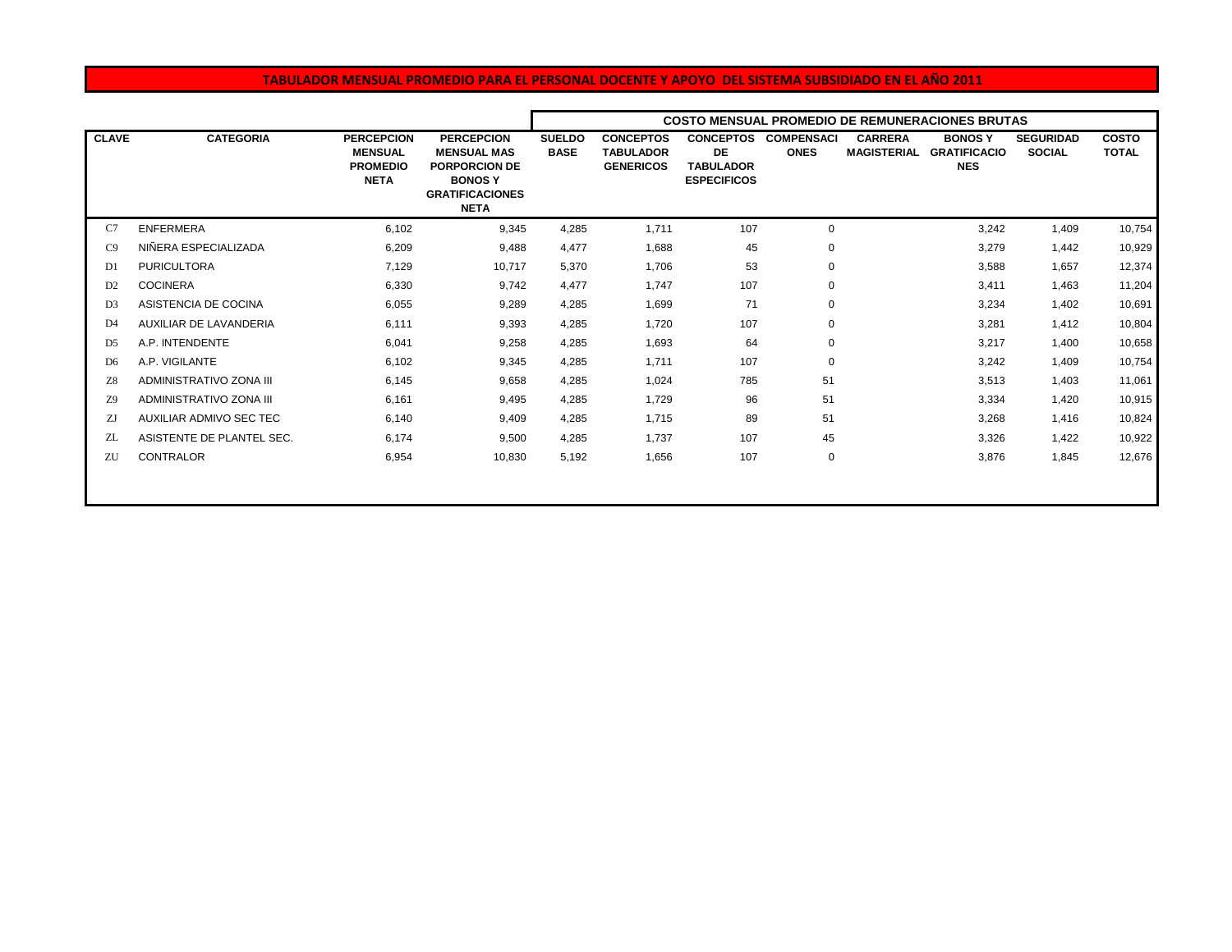## **TABULADOR MENSUAL PROMEDIO PARA EL PERSONAL DOCENTE Y APOYO DEL SISTEMA SUBSIDIADO EN EL AÑO 2011**

|                |                           |                                                                       |                                                                                                                           | <b>COSTO MENSUAL PROMEDIO DE REMUNERACIONES BRUTAS</b> |                                                          |                                                                         |                                  |                                      |                                                    |                                   |                              |  |
|----------------|---------------------------|-----------------------------------------------------------------------|---------------------------------------------------------------------------------------------------------------------------|--------------------------------------------------------|----------------------------------------------------------|-------------------------------------------------------------------------|----------------------------------|--------------------------------------|----------------------------------------------------|-----------------------------------|------------------------------|--|
| <b>CLAVE</b>   | <b>CATEGORIA</b>          | <b>PERCEPCION</b><br><b>MENSUAL</b><br><b>PROMEDIO</b><br><b>NETA</b> | <b>PERCEPCION</b><br><b>MENSUAL MAS</b><br><b>PORPORCION DE</b><br><b>BONOSY</b><br><b>GRATIFICACIONES</b><br><b>NETA</b> | <b>SUELDO</b><br><b>BASE</b>                           | <b>CONCEPTOS</b><br><b>TABULADOR</b><br><b>GENERICOS</b> | <b>CONCEPTOS</b><br><b>DE</b><br><b>TABULADOR</b><br><b>ESPECIFICOS</b> | <b>COMPENSACI</b><br><b>ONES</b> | <b>CARRERA</b><br><b>MAGISTERIAL</b> | <b>BONOSY</b><br><b>GRATIFICACIO</b><br><b>NES</b> | <b>SEGURIDAD</b><br><b>SOCIAL</b> | <b>COSTO</b><br><b>TOTAL</b> |  |
| C7             | <b>ENFERMERA</b>          | 6,102                                                                 | 9,345                                                                                                                     | 4,285                                                  | 1,711                                                    | 107                                                                     | 0                                |                                      | 3,242                                              | 1,409                             | 10,754                       |  |
| C9             | NIÑERA ESPECIALIZADA      | 6,209                                                                 | 9,488                                                                                                                     | 4,477                                                  | 1,688                                                    | 45                                                                      | $\mathbf 0$                      |                                      | 3,279                                              | 1,442                             | 10,929                       |  |
| D <sub>1</sub> | <b>PURICULTORA</b>        | 7,129                                                                 | 10,717                                                                                                                    | 5,370                                                  | 1,706                                                    | 53                                                                      | 0                                |                                      | 3,588                                              | 1,657                             | 12,374                       |  |
| D <sub>2</sub> | <b>COCINERA</b>           | 6,330                                                                 | 9,742                                                                                                                     | 4,477                                                  | 1,747                                                    | 107                                                                     | 0                                |                                      | 3,411                                              | 1,463                             | 11,204                       |  |
| D <sub>3</sub> | ASISTENCIA DE COCINA      | 6,055                                                                 | 9,289                                                                                                                     | 4,285                                                  | 1,699                                                    | 71                                                                      | 0                                |                                      | 3,234                                              | 1,402                             | 10,691                       |  |
| D <sub>4</sub> | AUXILIAR DE LAVANDERIA    | 6.111                                                                 | 9,393                                                                                                                     | 4,285                                                  | 1,720                                                    | 107                                                                     | 0                                |                                      | 3,281                                              | 1.412                             | 10,804                       |  |
| D <sub>5</sub> | A.P. INTENDENTE           | 6.041                                                                 | 9,258                                                                                                                     | 4,285                                                  | 1,693                                                    | 64                                                                      | 0                                |                                      | 3,217                                              | 1.400                             | 10,658                       |  |
| D <sub>6</sub> | A.P. VIGILANTE            | 6.102                                                                 | 9.345                                                                                                                     | 4,285                                                  | 1,711                                                    | 107                                                                     | 0                                |                                      | 3,242                                              | 1,409                             | 10,754                       |  |
| Z8             | ADMINISTRATIVO ZONA III   | 6.145                                                                 | 9,658                                                                                                                     | 4,285                                                  | 1,024                                                    | 785                                                                     | 51                               |                                      | 3,513                                              | 1,403                             | 11,061                       |  |
| Z9             | ADMINISTRATIVO ZONA III   | 6,161                                                                 | 9,495                                                                                                                     | 4,285                                                  | 1,729                                                    | 96                                                                      | 51                               |                                      | 3,334                                              | 1,420                             | 10,915                       |  |
| ZJ             | AUXILIAR ADMIVO SEC TEC   | 6,140                                                                 | 9,409                                                                                                                     | 4,285                                                  | 1,715                                                    | 89                                                                      | 51                               |                                      | 3,268                                              | 1,416                             | 10,824                       |  |
| ZL             | ASISTENTE DE PLANTEL SEC. | 6.174                                                                 | 9,500                                                                                                                     | 4,285                                                  | 1,737                                                    | 107                                                                     | 45                               |                                      | 3,326                                              | 1,422                             | 10,922                       |  |
| ZU             | <b>CONTRALOR</b>          | 6,954                                                                 | 10,830                                                                                                                    | 5,192                                                  | 1,656                                                    | 107                                                                     | 0                                |                                      | 3,876                                              | 1,845                             | 12,676                       |  |
|                |                           |                                                                       |                                                                                                                           |                                                        |                                                          |                                                                         |                                  |                                      |                                                    |                                   |                              |  |